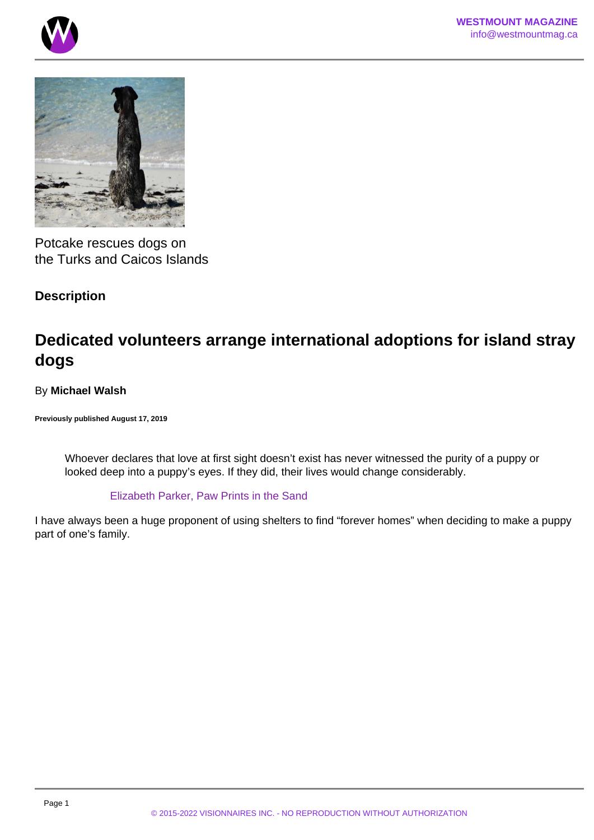



Potcake rescues dogs on the Turks and Caicos Islands

# **Description**

# **Dedicated volunteers arrange international adoptions for island stray dogs**

# By **Michael Walsh**

**Previously published August 17, 2019**

Whoever declares that love at first sight doesn't exist has never witnessed the purity of a puppy or looked deep into a puppy's eyes. If they did, their lives would change considerably.

# Elizabeth Parker, Paw Prints in the Sand

I have always been a huge proponent of using shelters to find "forever homes" when deciding to make a puppy part of one's family.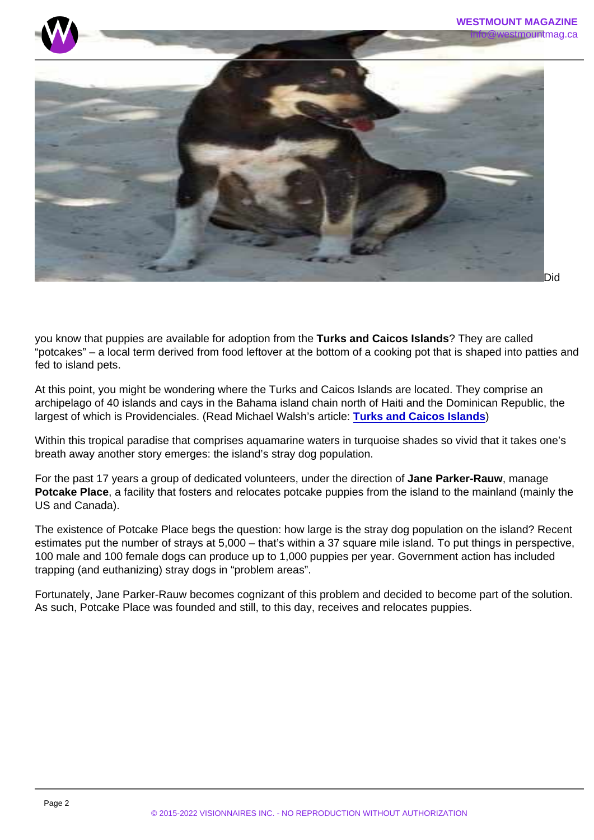Did

you know that puppies are available for adoption from the Turks and Caicos Islands ? They are called "potcakes" – a local term derived from food leftover at the bottom of a cooking pot that is shaped into patties and fed to island pets.

At this point, you might be wondering where the Turks and Caicos Islands are located. They comprise an archipelago of 40 islands and cays in the Bahama island chain north of Haiti and the Dominican Republic, the largest of which is Providenciales. (Read Michael Walsh's article: [Turks and Caicos Islands](/) )

Within this tropical paradise that comprises aquamarine waters in turquoise shades so vivid that it takes one's breath away another story emerges: the island's stray dog population.

For the past 17 years a group of dedicated volunteers, under the direction of Jane Parker-Rauw , manage Potcake Place , a facility that fosters and relocates potcake puppies from the island to the mainland (mainly the US and Canada).

The existence of Potcake Place begs the question: how large is the stray dog population on the island? Recent estimates put the number of strays at 5,000 – that's within a 37 square mile island. To put things in perspective, 100 male and 100 female dogs can produce up to 1,000 puppies per year. Government action has included trapping (and euthanizing) stray dogs in "problem areas".

Fortunately, Jane Parker-Rauw becomes cognizant of this problem and decided to become part of the solution. As such, Potcake Place was founded and still, to this day, receives and relocates puppies.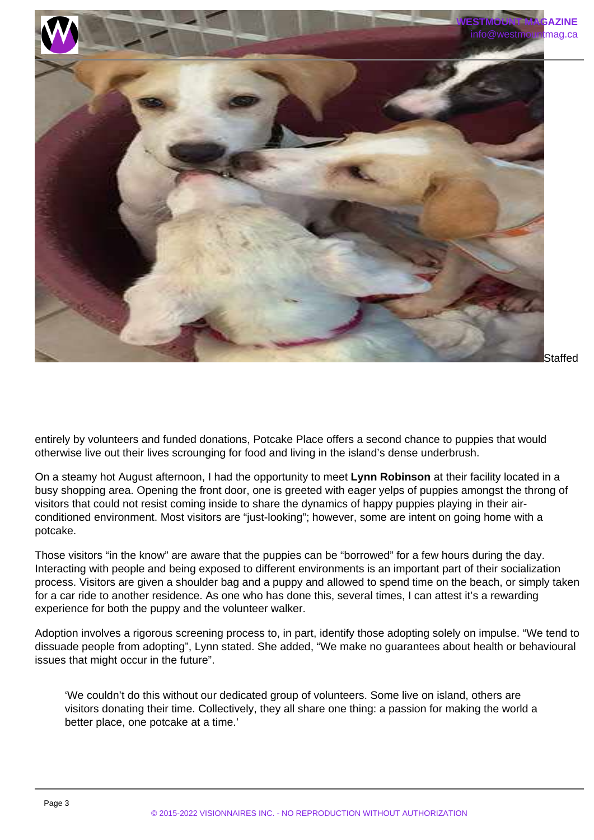

entirely by volunteers and funded donations, Potcake Place offers a second chance to puppies that would otherwise live out their lives scrounging for food and living in the island's dense underbrush.

On a steamy hot August afternoon, I had the opportunity to meet **Lynn Robinson** at their facility located in a busy shopping area. Opening the front door, one is greeted with eager yelps of puppies amongst the throng of visitors that could not resist coming inside to share the dynamics of happy puppies playing in their airconditioned environment. Most visitors are "just-looking"; however, some are intent on going home with a potcake.

Those visitors "in the know" are aware that the puppies can be "borrowed" for a few hours during the day. Interacting with people and being exposed to different environments is an important part of their socialization process. Visitors are given a shoulder bag and a puppy and allowed to spend time on the beach, or simply taken for a car ride to another residence. As one who has done this, several times, I can attest it's a rewarding experience for both the puppy and the volunteer walker.

Adoption involves a rigorous screening process to, in part, identify those adopting solely on impulse. "We tend to dissuade people from adopting", Lynn stated. She added, "We make no guarantees about health or behavioural issues that might occur in the future".

'We couldn't do this without our dedicated group of volunteers. Some live on island, others are visitors donating their time. Collectively, they all share one thing: a passion for making the world a better place, one potcake at a time.'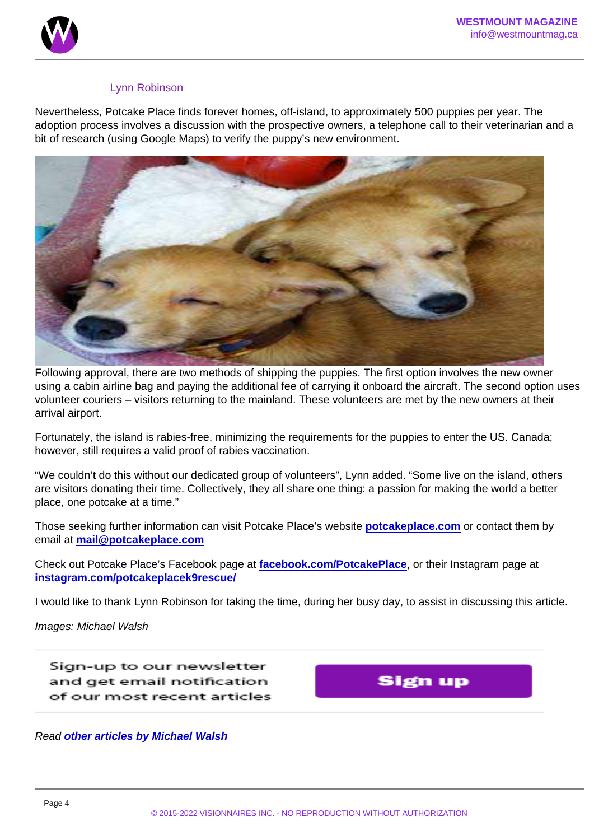### Lynn Robinson

Nevertheless, Potcake Place finds forever homes, off-island, to approximately 500 puppies per year. The adoption process involves a discussion with the prospective owners, a telephone call to their veterinarian and a bit of research (using Google Maps) to verify the puppy's new environment.

Following approval, there are two methods of shipping the puppies. The first option involves the new owner using a cabin airline bag and paying the additional fee of carrying it onboard the aircraft. The second option uses volunteer couriers – visitors returning to the mainland. These volunteers are met by the new owners at their arrival airport.

Fortunately, the island is rabies-free, minimizing the requirements for the puppies to enter the US. Canada; however, still requires a valid proof of rabies vaccination.

"We couldn't do this without our dedicated group of volunteers", Lynn added. "Some live on the island, others are visitors donating their time. Collectively, they all share one thing: a passion for making the world a better place, one potcake at a time."

Those seeking further information can visit Potcake Place's website [potcakeplace.com](http://www.potcakeplace.com) or contact them by email at [mail@potcakeplace.com](mailto:mail@potcakeplace.com)

Check out Potcake Place's Facebook page at [facebook.com/PotcakePlace](https://www.facebook.com/PotcakePlace) , or their Instagram page at [instagram.com/potcakeplacek9rescue/](https://www.instagram.com/potcakeplacek9rescue/)

I would like to thank Lynn Robinson for taking the time, during her busy day, to assist in discussing this article.

Images: Michael Walsh

Read [other articles by Michael Walsh](https://www.westmountmag.ca/?s=michael+walsh)